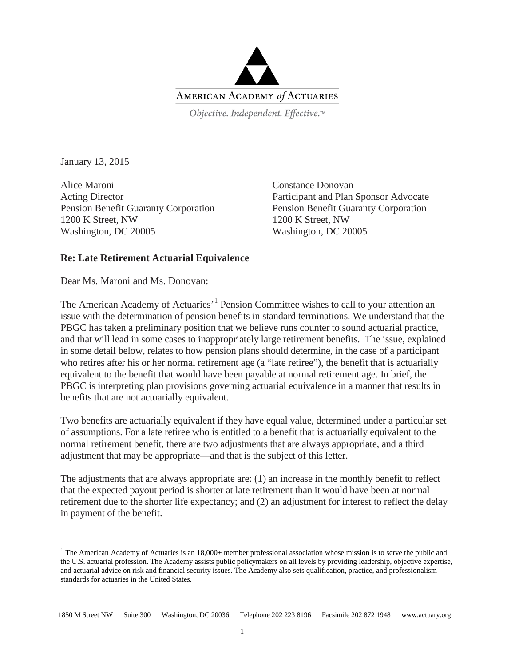

Objective. Independent. Effective.™

January 13, 2015

Alice Maroni Constance Donovan Acting Director Participant and Plan Sponsor Advocate Pension Benefit Guaranty Corporation Pension Benefit Guaranty Corporation 1200 K Street, NW 1200 K Street, NW Washington, DC 20005 Washington, DC 20005

## **Re: Late Retirement Actuarial Equivalence**

Dear Ms. Maroni and Ms. Donovan:

The American Academy of Actuaries<sup>'[1](#page-0-0)</sup> Pension Committee wishes to call to your attention an issue with the determination of pension benefits in standard terminations. We understand that the PBGC has taken a preliminary position that we believe runs counter to sound actuarial practice, and that will lead in some cases to inappropriately large retirement benefits. The issue, explained in some detail below, relates to how pension plans should determine, in the case of a participant who retires after his or her normal retirement age (a "late retiree"), the benefit that is actuarially equivalent to the benefit that would have been payable at normal retirement age. In brief, the PBGC is interpreting plan provisions governing actuarial equivalence in a manner that results in benefits that are not actuarially equivalent.

Two benefits are actuarially equivalent if they have equal value, determined under a particular set of assumptions. For a late retiree who is entitled to a benefit that is actuarially equivalent to the normal retirement benefit, there are two adjustments that are always appropriate, and a third adjustment that may be appropriate—and that is the subject of this letter.

The adjustments that are always appropriate are: (1) an increase in the monthly benefit to reflect that the expected payout period is shorter at late retirement than it would have been at normal retirement due to the shorter life expectancy; and (2) an adjustment for interest to reflect the delay in payment of the benefit.

<span id="page-0-0"></span> $1$  The American Academy of Actuaries is an  $18,000+$  member professional association whose mission is to serve the public and the U.S. actuarial profession. The Academy assists public policymakers on all levels by providing leadership, objective expertise, and actuarial advice on risk and financial security issues. The Academy also sets qualification, practice, and professionalism standards for actuaries in the United States.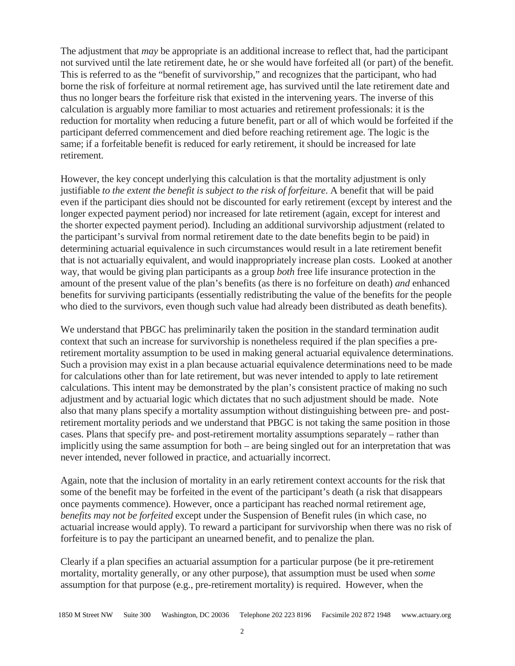The adjustment that *may* be appropriate is an additional increase to reflect that, had the participant not survived until the late retirement date, he or she would have forfeited all (or part) of the benefit. This is referred to as the "benefit of survivorship," and recognizes that the participant, who had borne the risk of forfeiture at normal retirement age, has survived until the late retirement date and thus no longer bears the forfeiture risk that existed in the intervening years. The inverse of this calculation is arguably more familiar to most actuaries and retirement professionals: it is the reduction for mortality when reducing a future benefit, part or all of which would be forfeited if the participant deferred commencement and died before reaching retirement age. The logic is the same; if a forfeitable benefit is reduced for early retirement, it should be increased for late retirement.

However, the key concept underlying this calculation is that the mortality adjustment is only justifiable *to the extent the benefit is subject to the risk of forfeiture*. A benefit that will be paid even if the participant dies should not be discounted for early retirement (except by interest and the longer expected payment period) nor increased for late retirement (again, except for interest and the shorter expected payment period). Including an additional survivorship adjustment (related to the participant's survival from normal retirement date to the date benefits begin to be paid) in determining actuarial equivalence in such circumstances would result in a late retirement benefit that is not actuarially equivalent, and would inappropriately increase plan costs. Looked at another way, that would be giving plan participants as a group *both* free life insurance protection in the amount of the present value of the plan's benefits (as there is no forfeiture on death) *and* enhanced benefits for surviving participants (essentially redistributing the value of the benefits for the people who died to the survivors, even though such value had already been distributed as death benefits).

We understand that PBGC has preliminarily taken the position in the standard termination audit context that such an increase for survivorship is nonetheless required if the plan specifies a preretirement mortality assumption to be used in making general actuarial equivalence determinations. Such a provision may exist in a plan because actuarial equivalence determinations need to be made for calculations other than for late retirement, but was never intended to apply to late retirement calculations. This intent may be demonstrated by the plan's consistent practice of making no such adjustment and by actuarial logic which dictates that no such adjustment should be made. Note also that many plans specify a mortality assumption without distinguishing between pre- and postretirement mortality periods and we understand that PBGC is not taking the same position in those cases. Plans that specify pre- and post-retirement mortality assumptions separately – rather than implicitly using the same assumption for both – are being singled out for an interpretation that was never intended, never followed in practice, and actuarially incorrect.

Again, note that the inclusion of mortality in an early retirement context accounts for the risk that some of the benefit may be forfeited in the event of the participant's death (a risk that disappears once payments commence). However, once a participant has reached normal retirement age, *benefits may not be forfeited* except under the Suspension of Benefit rules (in which case, no actuarial increase would apply). To reward a participant for survivorship when there was no risk of forfeiture is to pay the participant an unearned benefit, and to penalize the plan.

Clearly if a plan specifies an actuarial assumption for a particular purpose (be it pre-retirement mortality, mortality generally, or any other purpose), that assumption must be used when *some* assumption for that purpose (e.g., pre-retirement mortality) is required. However, when the